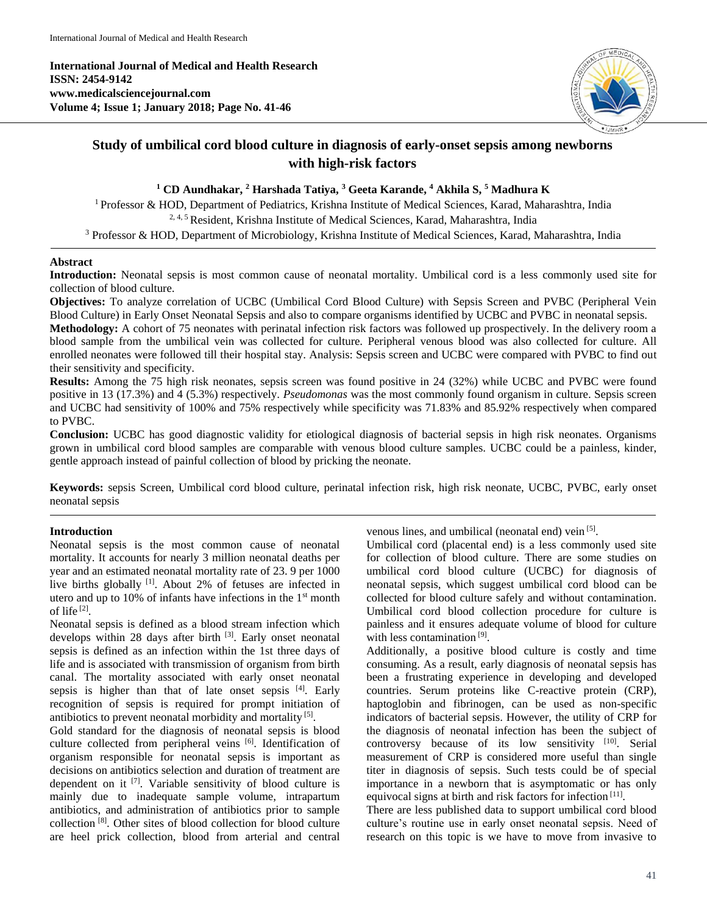**International Journal of Medical and Health Research ISSN: 2454-9142 www.medicalsciencejournal.com Volume 4; Issue 1; January 2018; Page No. 41-46**



# **Study of umbilical cord blood culture in diagnosis of early-onset sepsis among newborns with high-risk factors**

## **<sup>1</sup> CD Aundhakar, <sup>2</sup> Harshada Tatiya, <sup>3</sup> Geeta Karande, <sup>4</sup> Akhila S, <sup>5</sup> Madhura K**

<sup>1</sup> Professor & HOD, Department of Pediatrics, Krishna Institute of Medical Sciences, Karad, Maharashtra, India 2, 4, 5 Resident, Krishna Institute of Medical Sciences, Karad, Maharashtra, India

<sup>3</sup> Professor & HOD, Department of Microbiology, Krishna Institute of Medical Sciences, Karad, Maharashtra, India

## **Abstract**

**Introduction:** Neonatal sepsis is most common cause of neonatal mortality. Umbilical cord is a less commonly used site for collection of blood culture.

**Objectives:** To analyze correlation of UCBC (Umbilical Cord Blood Culture) with Sepsis Screen and PVBC (Peripheral Vein Blood Culture) in Early Onset Neonatal Sepsis and also to compare organisms identified by UCBC and PVBC in neonatal sepsis. **Methodology:** A cohort of 75 neonates with perinatal infection risk factors was followed up prospectively. In the delivery room a

blood sample from the umbilical vein was collected for culture. Peripheral venous blood was also collected for culture. All enrolled neonates were followed till their hospital stay. Analysis: Sepsis screen and UCBC were compared with PVBC to find out their sensitivity and specificity.

**Results:** Among the 75 high risk neonates, sepsis screen was found positive in 24 (32%) while UCBC and PVBC were found positive in 13 (17.3%) and 4 (5.3%) respectively. *Pseudomonas* was the most commonly found organism in culture. Sepsis screen and UCBC had sensitivity of 100% and 75% respectively while specificity was 71.83% and 85.92% respectively when compared to PVBC.

**Conclusion:** UCBC has good diagnostic validity for etiological diagnosis of bacterial sepsis in high risk neonates. Organisms grown in umbilical cord blood samples are comparable with venous blood culture samples. UCBC could be a painless, kinder, gentle approach instead of painful collection of blood by pricking the neonate.

**Keywords:** sepsis Screen, Umbilical cord blood culture, perinatal infection risk, high risk neonate, UCBC, PVBC, early onset neonatal sepsis

## **Introduction**

Neonatal sepsis is the most common cause of neonatal mortality. It accounts for nearly 3 million neonatal deaths per year and an estimated neonatal mortality rate of 23. 9 per 1000 live births globally <sup>[1]</sup>. About 2% of fetuses are infected in utero and up to 10% of infants have infections in the  $1<sup>st</sup>$  month of life [2] .

Neonatal sepsis is defined as a blood stream infection which develops within 28 days after birth <sup>[3]</sup>. Early onset neonatal sepsis is defined as an infection within the 1st three days of life and is associated with transmission of organism from birth canal. The mortality associated with early onset neonatal sepsis is higher than that of late onset sepsis  $[4]$ . Early recognition of sepsis is required for prompt initiation of antibiotics to prevent neonatal morbidity and mortality<sup>[5]</sup>.

Gold standard for the diagnosis of neonatal sepsis is blood culture collected from peripheral veins [6]. Identification of organism responsible for neonatal sepsis is important as decisions on antibiotics selection and duration of treatment are dependent on it <a>[7]</a>. Variable sensitivity of blood culture is mainly due to inadequate sample volume, intrapartum antibiotics, and administration of antibiotics prior to sample collection [8] . Other sites of blood collection for blood culture are heel prick collection, blood from arterial and central venous lines, and umbilical (neonatal end) vein [5].

Umbilical cord (placental end) is a less commonly used site for collection of blood culture. There are some studies on umbilical cord blood culture (UCBC) for diagnosis of neonatal sepsis, which suggest umbilical cord blood can be collected for blood culture safely and without contamination. Umbilical cord blood collection procedure for culture is painless and it ensures adequate volume of blood for culture with less contamination<sup>[9]</sup>.

Additionally, a positive blood culture is costly and time consuming. As a result, early diagnosis of neonatal sepsis has been a frustrating experience in developing and developed countries. Serum proteins like C-reactive protein (CRP), haptoglobin and fibrinogen, can be used as non-specific indicators of bacterial sepsis. However, the utility of CRP for the diagnosis of neonatal infection has been the subject of controversy because of its low sensitivity [10]. Serial measurement of CRP is considered more useful than single titer in diagnosis of sepsis. Such tests could be of special importance in a newborn that is asymptomatic or has only equivocal signs at birth and risk factors for infection<sup>[11]</sup>.

There are less published data to support umbilical cord blood culture's routine use in early onset neonatal sepsis. Need of research on this topic is we have to move from invasive to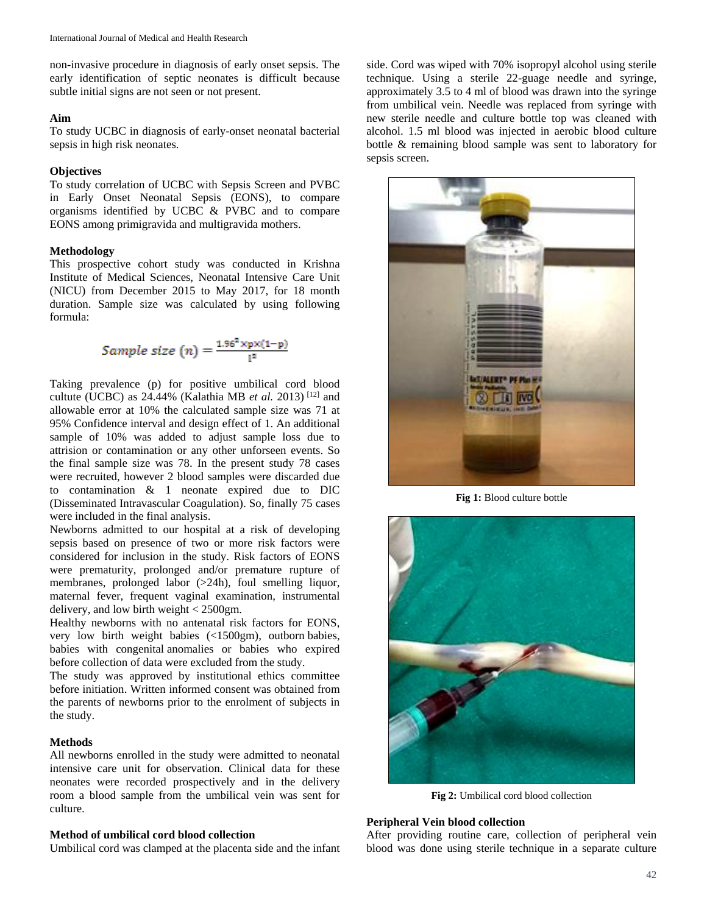non-invasive procedure in diagnosis of early onset sepsis. The early identification of septic neonates is difficult because subtle initial signs are not seen or not present.

#### **Aim**

To study UCBC in diagnosis of early-onset neonatal bacterial sepsis in high risk neonates.

## **Objectives**

To study correlation of UCBC with Sepsis Screen and PVBC in Early Onset Neonatal Sepsis (EONS), to compare organisms identified by UCBC & PVBC and to compare EONS among primigravida and multigravida mothers.

## **Methodology**

This prospective cohort study was conducted in Krishna Institute of Medical Sciences, Neonatal Intensive Care Unit (NICU) from December 2015 to May 2017, for 18 month duration. Sample size was calculated by using following formula:

Sample size (n) = 
$$
\frac{1.96^2 \times p \times (1-p)}{1^2}
$$

Taking prevalence (p) for positive umbilical cord blood cultute (UCBC) as 24.44% (Kalathia MB *et al.* 2013) [12] and allowable error at 10% the calculated sample size was 71 at 95% Confidence interval and design effect of 1. An additional sample of 10% was added to adjust sample loss due to attrision or contamination or any other unforseen events. So the final sample size was 78. In the present study 78 cases were recruited, however 2 blood samples were discarded due to contamination & 1 neonate expired due to DIC (Disseminated Intravascular Coagulation). So, finally 75 cases were included in the final analysis.

Newborns admitted to our hospital at a risk of developing sepsis based on presence of two or more risk factors were considered for inclusion in the study. Risk factors of EONS were prematurity, prolonged and/or premature rupture of membranes, prolonged labor (>24h), foul smelling liquor, maternal fever, frequent vaginal examination, instrumental delivery, and low birth weight < 2500gm.

Healthy newborns with no antenatal risk factors for EONS, very low birth weight babies (<1500gm), outborn babies, babies with congenital anomalies or babies who expired before collection of data were excluded from the study.

The study was approved by institutional ethics committee before initiation. Written informed consent was obtained from the parents of newborns prior to the enrolment of subjects in the study.

#### **Methods**

All newborns enrolled in the study were admitted to neonatal intensive care unit for observation. Clinical data for these neonates were recorded prospectively and in the delivery room a blood sample from the umbilical vein was sent for culture.

#### **Method of umbilical cord blood collection**

Umbilical cord was clamped at the placenta side and the infant

side. Cord was wiped with 70% isopropyl alcohol using sterile technique. Using a sterile 22-guage needle and syringe, approximately 3.5 to 4 ml of blood was drawn into the syringe from umbilical vein. Needle was replaced from syringe with new sterile needle and culture bottle top was cleaned with alcohol. 1.5 ml blood was injected in aerobic blood culture bottle & remaining blood sample was sent to laboratory for sepsis screen.



**Fig 1:** Blood culture bottle



**Fig 2:** Umbilical cord blood collection

#### **Peripheral Vein blood collection**

After providing routine care, collection of peripheral vein blood was done using sterile technique in a separate culture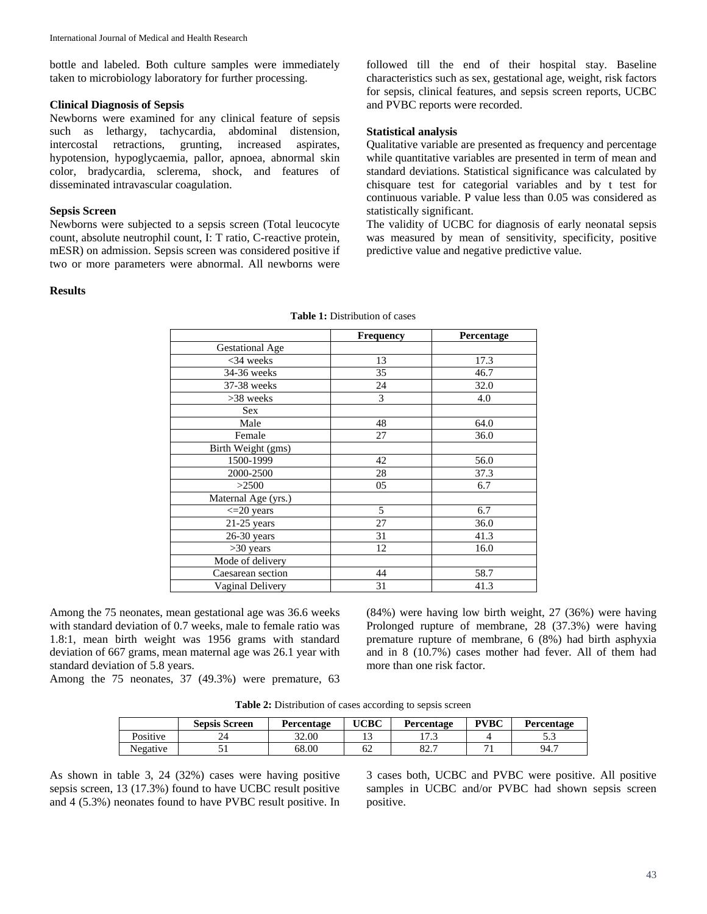bottle and labeled. Both culture samples were immediately taken to microbiology laboratory for further processing.

#### **Clinical Diagnosis of Sepsis**

Newborns were examined for any clinical feature of sepsis such as lethargy, tachycardia, abdominal distension, intercostal retractions, grunting, increased aspirates, hypotension, hypoglycaemia, pallor, apnoea, abnormal skin color, bradycardia, sclerema, shock, and features of disseminated intravascular coagulation.

## **Sepsis Screen**

Newborns were subjected to a sepsis screen (Total leucocyte count, absolute neutrophil count, I: T ratio, C-reactive protein, mESR) on admission. Sepsis screen was considered positive if two or more parameters were abnormal. All newborns were

#### **Results**

followed till the end of their hospital stay. Baseline characteristics such as sex, gestational age, weight, risk factors for sepsis, clinical features, and sepsis screen reports, UCBC and PVBC reports were recorded.

## **Statistical analysis**

Qualitative variable are presented as frequency and percentage while quantitative variables are presented in term of mean and standard deviations. Statistical significance was calculated by chisquare test for categorial variables and by t test for continuous variable. P value less than 0.05 was considered as statistically significant.

The validity of UCBC for diagnosis of early neonatal sepsis was measured by mean of sensitivity, specificity, positive predictive value and negative predictive value.

|                        | Frequency | Percentage |
|------------------------|-----------|------------|
| <b>Gestational Age</b> |           |            |
| $<$ 34 weeks           | 13        | 17.3       |
| 34-36 weeks            | 35        | 46.7       |
| 37-38 weeks            | 24        | 32.0       |
| >38 weeks              | 3         | 4.0        |
| Sex                    |           |            |
| Male                   | 48        | 64.0       |
| Female                 | 27        | 36.0       |
| Birth Weight (gms)     |           |            |
| 1500-1999              | 42        | 56.0       |
| 2000-2500              | 28        | 37.3       |
| >2500                  | 05        | 6.7        |
| Maternal Age (yrs.)    |           |            |
| $\leq$ 20 years        | 5         | 6.7        |
| $21-25$ years          | 27        | 36.0       |
| $26-30$ years          | 31        | 41.3       |
| $>30$ years            | 12        | 16.0       |
| Mode of delivery       |           |            |
| Caesarean section      | 44        | 58.7       |
| Vaginal Delivery       | 31        | 41.3       |

**Table 1:** Distribution of cases

Among the 75 neonates, mean gestational age was 36.6 weeks with standard deviation of 0.7 weeks, male to female ratio was 1.8:1, mean birth weight was 1956 grams with standard deviation of 667 grams, mean maternal age was 26.1 year with standard deviation of 5.8 years.

(84%) were having low birth weight, 27 (36%) were having Prolonged rupture of membrane, 28 (37.3%) were having premature rupture of membrane, 6 (8%) had birth asphyxia and in 8 (10.7%) cases mother had fever. All of them had more than one risk factor.

Among the 75 neonates, 37 (49.3%) were premature, 63

Table 2: Distribution of cases according to sepsis screen

|          | <b>Sepsis Screen</b> | Percentage | UCBC | <b>Percentage</b> | <b>PVBC</b> | Percentage |
|----------|----------------------|------------|------|-------------------|-------------|------------|
| Positive | ∠⊣                   | 32.00      |      | $1 \pi$<br>.      |             | ن. ب       |
| Negative |                      | 68.00      | 62   | o٠<br>84.         | -           | 94.7       |

As shown in table 3, 24 (32%) cases were having positive sepsis screen, 13 (17.3%) found to have UCBC result positive and 4 (5.3%) neonates found to have PVBC result positive. In

3 cases both, UCBC and PVBC were positive. All positive samples in UCBC and/or PVBC had shown sepsis screen positive.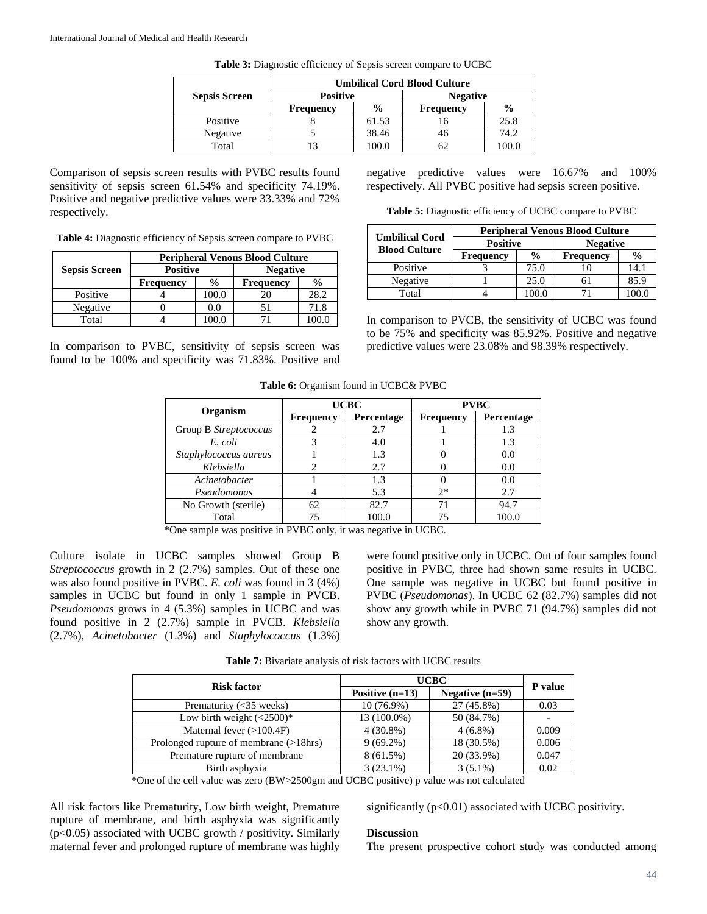|                      | <b>Umbilical Cord Blood Culture</b> |               |                  |               |  |
|----------------------|-------------------------------------|---------------|------------------|---------------|--|
| <b>Sepsis Screen</b> | <b>Positive</b>                     |               | <b>Negative</b>  |               |  |
|                      | <b>Frequency</b>                    | $\frac{0}{0}$ | <b>Frequency</b> | $\frac{6}{9}$ |  |
| Positive             |                                     | 61.53         | 16               | 25.8          |  |
| Negative             |                                     | 38.46         |                  | 74.2          |  |
| Total                |                                     | 100.0         |                  | 100.0         |  |

**Table 3:** Diagnostic efficiency of Sepsis screen compare to UCBC

Comparison of sepsis screen results with PVBC results found sensitivity of sepsis screen 61.54% and specificity 74.19%. Positive and negative predictive values were 33.33% and 72% respectively.

**Table 4:** Diagnostic efficiency of Sepsis screen compare to PVBC

|                      | <b>Peripheral Venous Blood Culture</b> |               |                  |               |  |
|----------------------|----------------------------------------|---------------|------------------|---------------|--|
| <b>Sepsis Screen</b> | <b>Positive</b>                        |               | <b>Negative</b>  |               |  |
|                      | <b>Frequency</b>                       | $\frac{0}{0}$ | <b>Frequency</b> | $\frac{0}{0}$ |  |
| Positive             |                                        | 100.0         | 20               | 28.2          |  |
| Negative             |                                        | 0.0           |                  | 71.8          |  |
| Total                |                                        |               |                  |               |  |

In comparison to PVBC, sensitivity of sepsis screen was found to be 100% and specificity was 71.83%. Positive and negative predictive values were 16.67% and 100% respectively. All PVBC positive had sepsis screen positive.

**Table 5:** Diagnostic efficiency of UCBC compare to PVBC

| <b>Umbilical Cord</b><br><b>Blood Culture</b> | <b>Peripheral Venous Blood Culture</b> |               |                  |               |
|-----------------------------------------------|----------------------------------------|---------------|------------------|---------------|
|                                               | <b>Positive</b>                        |               | <b>Negative</b>  |               |
|                                               | <b>Frequency</b>                       | $\frac{6}{9}$ | <b>Frequency</b> | $\frac{0}{0}$ |
| Positive                                      |                                        | 75.0          |                  | 14.1          |
| Negative                                      |                                        | 25.0          |                  | 85.9          |
| Total                                         |                                        |               |                  |               |

In comparison to PVCB, the sensitivity of UCBC was found to be 75% and specificity was 85.92%. Positive and negative predictive values were 23.08% and 98.39% respectively.

**Table 6:** Organism found in UCBC& PVBC

| Organism              |                  | <b>UCBC</b> | <b>PVBC</b>      |            |  |
|-----------------------|------------------|-------------|------------------|------------|--|
|                       | <b>Frequency</b> | Percentage  | <b>Frequency</b> | Percentage |  |
| Group B Streptococcus |                  | 2.7         |                  | 1.3        |  |
| E. coli               |                  | 4.0         |                  | 1.3        |  |
| Staphylococcus aureus |                  | 1.3         |                  | 0.0        |  |
| Klebsiella            |                  | 2.7         |                  | 0.0        |  |
| Acinetobacter         |                  | 1.3         |                  | 0.0        |  |
| Pseudomonas           |                  | 5.3         | $2*$             | 2.7        |  |
| No Growth (sterile)   | 62               | 82.7        | 71               | 94.7       |  |
| Total                 | 75               | 100.0       | 75               | 100.0      |  |

\*One sample was positive in PVBC only, it was negative in UCBC.

Culture isolate in UCBC samples showed Group B *Streptococcus* growth in 2 (2.7%) samples. Out of these one was also found positive in PVBC. *E. coli* was found in 3 (4%) samples in UCBC but found in only 1 sample in PVCB. *Pseudomonas* grows in 4 (5.3%) samples in UCBC and was found positive in 2 (2.7%) sample in PVCB. *Klebsiella* (2.7%), *Acinetobacter* (1.3%) and *Staphylococcus* (1.3%)

were found positive only in UCBC. Out of four samples found positive in PVBC, three had shown same results in UCBC. One sample was negative in UCBC but found positive in PVBC (*Pseudomonas*). In UCBC 62 (82.7%) samples did not show any growth while in PVBC 71 (94.7%) samples did not show any growth.

| <b>Risk factor</b>                     | <b>UCBC</b>       | P value           |       |
|----------------------------------------|-------------------|-------------------|-------|
|                                        | Positive $(n=13)$ | Negative $(n=59)$ |       |
| Prematurity $(<35$ weeks)              | $10(76.9\%)$      | 27 (45.8%)        | 0.03  |
| Low birth weight $(<2500)^*$           | 13 (100.0%)       | 50 (84.7%)        |       |
| Maternal fever $(>100.4F)$             | $4(30.8\%)$       | $4(6.8\%)$        | 0.009 |
| Prolonged rupture of membrane (>18hrs) | $9(69.2\%)$       | 18 (30.5%)        | 0.006 |
| Premature rupture of membrane          | 8(61.5%)          | 20 (33.9%)        | 0.047 |
| Birth asphyxia                         | $3(23.1\%)$       | $3(5.1\%)$        | 0.02  |

**Table 7:** Bivariate analysis of risk factors with UCBC results

\*One of the cell value was zero (BW>2500gm and UCBC positive) p value was not calculated

All risk factors like Prematurity, Low birth weight, Premature rupture of membrane, and birth asphyxia was significantly  $(p<0.05)$  associated with UCBC growth / positivity. Similarly maternal fever and prolonged rupture of membrane was highly

significantly (p<0.01) associated with UCBC positivity.

## **Discussion**

The present prospective cohort study was conducted among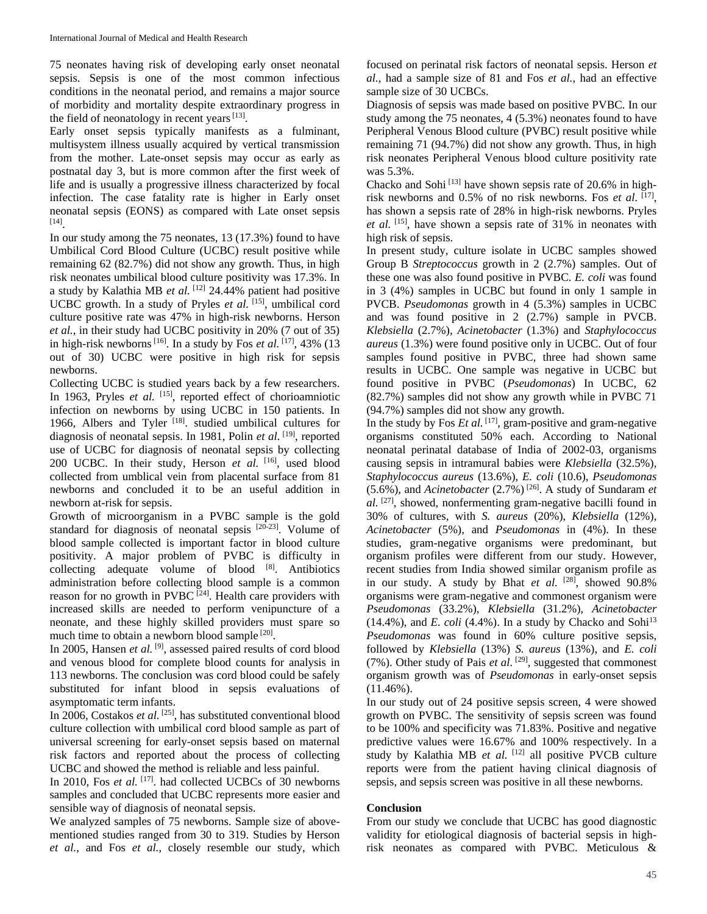75 neonates having risk of developing early onset neonatal sepsis. Sepsis is one of the most common infectious conditions in the neonatal period, and remains a major source of morbidity and mortality despite extraordinary progress in the field of neonatology in recent years  $[13]$ .

Early onset sepsis typically manifests as a fulminant, multisystem illness usually acquired by vertical transmission from the mother. Late-onset sepsis may occur as early as postnatal day 3, but is more common after the first week of life and is usually a progressive illness characterized by focal infection. The case fatality rate is higher in Early onset neonatal sepsis (EONS) as compared with Late onset sepsis [14] .

In our study among the 75 neonates, 13 (17.3%) found to have Umbilical Cord Blood Culture (UCBC) result positive while remaining 62 (82.7%) did not show any growth. Thus, in high risk neonates umbilical blood culture positivity was 17.3%. In a study by Kalathia MB *et al.* [12] 24.44% patient had positive UCBC growth. In a study of Pryles et al. [15], umbilical cord culture positive rate was 47% in high-risk newborns. Herson *et al.*, in their study had UCBC positivity in 20% (7 out of 35) in high-risk newborns<sup>[16]</sup>. In a study by Fos *et al.* [17], 43% (13) out of 30) UCBC were positive in high risk for sepsis newborns.

Collecting UCBC is studied years back by a few researchers. In 1963, Pryles *et al.* <sup>[15]</sup>, reported effect of chorioamniotic infection on newborns by using UCBC in 150 patients. In 1966, Albers and Tyler<sup>[18]</sup>. studied umbilical cultures for diagnosis of neonatal sepsis. In 1981, Polin *et al.* <sup>[19]</sup>, reported use of UCBC for diagnosis of neonatal sepsis by collecting 200 UCBC. In their study, Herson *et al.* [16] , used blood collected from umblical vein from placental surface from 81 newborns and concluded it to be an useful addition in newborn at-risk for sepsis.

Growth of microorganism in a PVBC sample is the gold standard for diagnosis of neonatal sepsis [20-23]. Volume of blood sample collected is important factor in blood culture positivity. A major problem of PVBC is difficulty in collecting adequate volume of blood  $[8]$ . Antibiotics administration before collecting blood sample is a common reason for no growth in PVBC  $[24]$ . Health care providers with increased skills are needed to perform venipuncture of a neonate, and these highly skilled providers must spare so much time to obtain a newborn blood sample [20].

In 2005, Hansen *et al.* [9], assessed paired results of cord blood and venous blood for complete blood counts for analysis in 113 newborns. The conclusion was cord blood could be safely substituted for infant blood in sepsis evaluations of asymptomatic term infants.

In 2006, Costakos *et al.* <sup>[25]</sup>, has substituted conventional blood culture collection with umbilical cord blood sample as part of universal screening for early-onset sepsis based on maternal risk factors and reported about the process of collecting UCBC and showed the method is reliable and less painful.

In 2010, Fos *et al.* <sup>[17]</sup>. had collected UCBCs of 30 newborns samples and concluded that UCBC represents more easier and sensible way of diagnosis of neonatal sepsis.

We analyzed samples of 75 newborns. Sample size of abovementioned studies ranged from 30 to 319. Studies by Herson *et al.*, and Fos *et al.*, closely resemble our study, which

focused on perinatal risk factors of neonatal sepsis. Herson *et al.*, had a sample size of 81 and Fos *et al.*, had an effective sample size of 30 UCBCs.

Diagnosis of sepsis was made based on positive PVBC. In our study among the 75 neonates, 4 (5.3%) neonates found to have Peripheral Venous Blood culture (PVBC) result positive while remaining 71 (94.7%) did not show any growth. Thus, in high risk neonates Peripheral Venous blood culture positivity rate was 5.3%.

Chacko and Sohi [13] have shown sepsis rate of 20.6% in highrisk newborns and 0.5% of no risk newborns. Fos *et al.* [17], has shown a sepsis rate of 28% in high-risk newborns. Pryles *et al.* [15] , have shown a sepsis rate of 31% in neonates with high risk of sepsis.

In present study, culture isolate in UCBC samples showed Group B *Streptococcus* growth in 2 (2.7%) samples. Out of these one was also found positive in PVBC. *E. coli* was found in 3 (4%) samples in UCBC but found in only 1 sample in PVCB. *Pseudomonas* growth in 4 (5.3%) samples in UCBC and was found positive in 2 (2.7%) sample in PVCB. *Klebsiella* (2.7%), *Acinetobacter* (1.3%) and *Staphylococcus aureus* (1.3%) were found positive only in UCBC. Out of four samples found positive in PVBC, three had shown same results in UCBC. One sample was negative in UCBC but found positive in PVBC (*Pseudomonas*) In UCBC, 62 (82.7%) samples did not show any growth while in PVBC 71 (94.7%) samples did not show any growth.

In the study by Fos  $Et$   $al$ .  $[17]$ , gram-positive and gram-negative organisms constituted 50% each. According to National neonatal perinatal database of India of 2002-03, organisms causing sepsis in intramural babies were *Klebsiella* (32.5%), *Staphylococcus aureus* (13.6%), *E. coli* (10.6), *Pseudomonas* (5.6%), and *Acinetobacter* (2.7%) [26] . A study of Sundaram *et al.* [27] , showed, nonfermenting gram-negative bacilli found in 30% of cultures, with *S. aureus* (20%), *Klebsiella* (12%), *Acinetobacter* (5%), and *Pseudomonas* in (4%). In these studies, gram-negative organisms were predominant, but organism profiles were different from our study. However, recent studies from India showed similar organism profile as in our study. A study by Bhat et al. <sup>[28]</sup>, showed 90.8% organisms were gram-negative and commonest organism were *Pseudomonas* (33.2%), *Klebsiella* (31.2%), *Acinetobacter*  $(14.4\%)$ , and *E. coli* (4.4%). In a study by Chacko and Sohi<sup>13</sup> *Pseudomonas* was found in 60% culture positive sepsis, followed by *Klebsiella* (13%) *S. aureus* (13%), and *E. coli* (7%). Other study of Pais *et al.* <sup>[29]</sup>, suggested that commonest organism growth was of *Pseudomonas* in early-onset sepsis  $(11.46\%)$ .

In our study out of 24 positive sepsis screen, 4 were showed growth on PVBC. The sensitivity of sepsis screen was found to be 100% and specificity was 71.83%. Positive and negative predictive values were 16.67% and 100% respectively. In a study by Kalathia MB *et al.* [12] all positive PVCB culture reports were from the patient having clinical diagnosis of sepsis, and sepsis screen was positive in all these newborns.

## **Conclusion**

From our study we conclude that UCBC has good diagnostic validity for etiological diagnosis of bacterial sepsis in highrisk neonates as compared with PVBC. Meticulous &